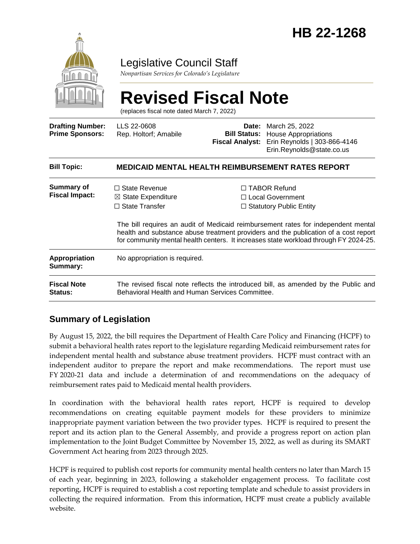

### Legislative Council Staff

*Nonpartisan Services for Colorado's Legislature*

# **Revised Fiscal Note**

(replaces fiscal note dated March 7, 2022)

| <b>Drafting Number:</b><br><b>Prime Sponsors:</b> | LLS 22-0608<br>Rep. Holtorf; Amabile                                                                                                                                                                                                                             | Date:<br><b>Fiscal Analyst:</b> | March 25, 2022<br><b>Bill Status:</b> House Appropriations<br>Erin Reynolds   303-866-4146<br>Erin.Reynolds@state.co.us |  |
|---------------------------------------------------|------------------------------------------------------------------------------------------------------------------------------------------------------------------------------------------------------------------------------------------------------------------|---------------------------------|-------------------------------------------------------------------------------------------------------------------------|--|
| <b>Bill Topic:</b>                                | <b>MEDICAID MENTAL HEALTH REIMBURSEMENT RATES REPORT</b>                                                                                                                                                                                                         |                                 |                                                                                                                         |  |
| <b>Summary of</b><br><b>Fiscal Impact:</b>        | $\Box$ State Revenue<br>$\boxtimes$ State Expenditure<br>$\Box$ State Transfer                                                                                                                                                                                   |                                 | $\Box$ TABOR Refund<br>$\Box$ Local Government<br>$\Box$ Statutory Public Entity                                        |  |
|                                                   | The bill requires an audit of Medicaid reimbursement rates for independent mental<br>health and substance abuse treatment providers and the publication of a cost report<br>for community mental health centers. It increases state workload through FY 2024-25. |                                 |                                                                                                                         |  |
| <b>Appropriation</b><br>Summary:                  | No appropriation is required.                                                                                                                                                                                                                                    |                                 |                                                                                                                         |  |
| <b>Fiscal Note</b><br><b>Status:</b>              | The revised fiscal note reflects the introduced bill, as amended by the Public and<br>Behavioral Health and Human Services Committee.                                                                                                                            |                                 |                                                                                                                         |  |

#### **Summary of Legislation**

By August 15, 2022, the bill requires the Department of Health Care Policy and Financing (HCPF) to submit a behavioral health rates report to the legislature regarding Medicaid reimbursement rates for independent mental health and substance abuse treatment providers. HCPF must contract with an independent auditor to prepare the report and make recommendations. The report must use FY 2020-21 data and include a determination of and recommendations on the adequacy of reimbursement rates paid to Medicaid mental health providers.

In coordination with the behavioral health rates report, HCPF is required to develop recommendations on creating equitable payment models for these providers to minimize inappropriate payment variation between the two provider types. HCPF is required to present the report and its action plan to the General Assembly, and provide a progress report on action plan implementation to the Joint Budget Committee by November 15, 2022, as well as during its SMART Government Act hearing from 2023 through 2025.

HCPF is required to publish cost reports for community mental health centers no later than March 15 of each year, beginning in 2023, following a stakeholder engagement process. To facilitate cost reporting, HCPF is required to establish a cost reporting template and schedule to assist providers in collecting the required information. From this information, HCPF must create a publicly available website.